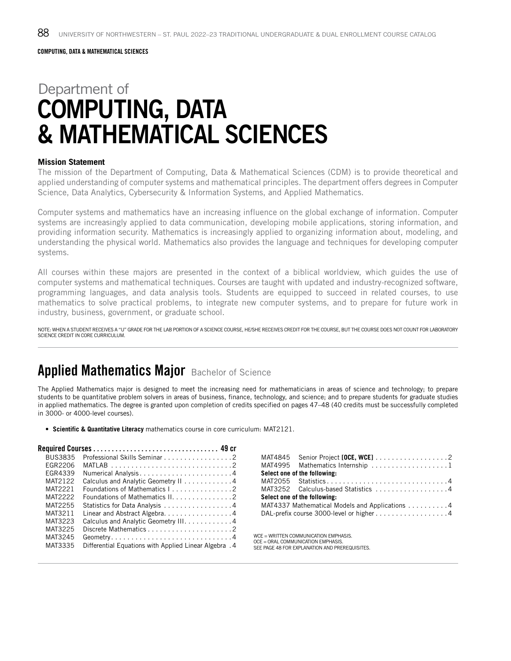COMPUTING, DATA & MATHEMATICAL SCIENCES

# Department of COMPUTING, DATA & MATHEMATICAL SCIENCES

#### **Mission Statement**

The mission of the Department of Computing, Data & Mathematical Sciences (CDM) is to provide theoretical and applied understanding of computer systems and mathematical principles. The department offers degrees in Computer Science, Data Analytics, Cybersecurity & Information Systems, and Applied Mathematics.

Computer systems and mathematics have an increasing influence on the global exchange of information. Computer systems are increasingly applied to data communication, developing mobile applications, storing information, and providing information security. Mathematics is increasingly applied to organizing information about, modeling, and understanding the physical world. Mathematics also provides the language and techniques for developing computer systems.

All courses within these majors are presented in the context of a biblical worldview, which guides the use of computer systems and mathematical techniques. Courses are taught with updated and industry-recognized software, programming languages, and data analysis tools. Students are equipped to succeed in related courses, to use mathematics to solve practical problems, to integrate new computer systems, and to prepare for future work in industry, business, government, or graduate school.

NOTE: WHEN A STUDENT RECEIVES A "U" GRADE FOR THE LAB PORTION OF A SCIENCE COURSE, HE/SHE RECEIVES CREDIT FOR THE COURSE, BUT THE COURSE DOES NOT COUNT FOR LABORATORY SCIENCE CREDIT IN CORE CURRICULUM.

#### Applied Mathematics Major Bachelor of Science

The Applied Mathematics major is designed to meet the increasing need for mathematicians in areas of science and technology; to prepare students to be quantitative problem solvers in areas of business, finance, technology, and science; and to prepare students for graduate studies in applied mathematics. The degree is granted upon completion of credits specified on pages 47–48 (40 credits must be successfully completed in 3000- or 4000-level courses).

• **Scientific & Quantitative Literacy** mathematics course in core curriculum: MAT2121.

| Professional Skills Seminar 2                         |
|-------------------------------------------------------|
|                                                       |
|                                                       |
| Calculus and Analytic Geometry II 4                   |
| Foundations of Mathematics I2                         |
| Foundations of Mathematics II. 2                      |
| Statistics for Data Analysis 4                        |
| Linear and Abstract Algebra. 4                        |
| Calculus and Analytic Geometry III. 4                 |
|                                                       |
|                                                       |
| 4. Differential Equations with Applied Linear Algebra |
|                                                       |

| MAT4845 Senior Project [OCE, WCE] 2            |
|------------------------------------------------|
| MAT4995 Mathematics Internship 1               |
| Select one of the following:                   |
| MAT2055 Statistics4                            |
| MAT3252 Calculus-based Statistics 4            |
| Select one of the following:                   |
| MAT4337 Mathematical Models and Applications 4 |
| DAL-prefix course 3000-level or higher 4       |
|                                                |

WCE = WRITTEN COMMUNICATION EMPHASIS. OCE = ORAL COMMUNICATION EMPHASIS. SEE PAGE 48 FOR EXPLANATION AND PREREQUISITES.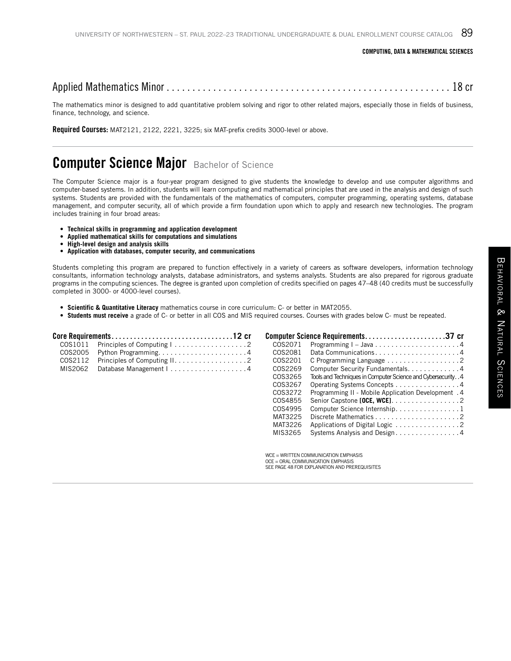#### Applied Mathematics Minor . . . . . . . . . . . . . . . . . . . . . . . . . . . . . . . . . . . . . . . . . . . . . . . . . . . . . . . 18 cr

The mathematics minor is designed to add quantitative problem solving and rigor to other related majors, especially those in fields of business, finance, technology, and science.

Required Courses: MAT2121, 2122, 2221, 3225; six MAT-prefix credits 3000-level or above.

#### **Computer Science Major** Bachelor of Science

The Computer Science major is a four-year program designed to give students the knowledge to develop and use computer algorithms and computer-based systems. In addition, students will learn computing and mathematical principles that are used in the analysis and design of such systems. Students are provided with the fundamentals of the mathematics of computers, computer programming, operating systems, database management, and computer security, all of which provide a firm foundation upon which to apply and research new technologies. The program includes training in four broad areas:

- **Technical skills in programming and application development**
- **Applied mathematical skills for computations and simulations**
- **High-level design and analysis skills**
- **Application with databases, computer security, and communications**

Students completing this program are prepared to function effectively in a variety of careers as software developers, information technology consultants, information technology analysts, database administrators, and systems analysts. Students are also prepared for rigorous graduate programs in the computing sciences. The degree is granted upon completion of credits specified on pages 47–48 (40 credits must be successfully completed in 3000- or 4000-level courses).

- **Scientific & Quantitative Literacy** mathematics course in core curriculum: C- or better in MAT2055.
- **Students must receive** a grade of C- or better in all COS and MIS required courses. Courses with grades below C- must be repeated.

|  |                                                                                           |         | Computer Science Requirements37 cr                          |  |
|--|-------------------------------------------------------------------------------------------|---------|-------------------------------------------------------------|--|
|  | $COS1011$ Principles of Computing $\vert \ldots \ldots \ldots \ldots \ldots \ldots \vert$ |         |                                                             |  |
|  | COS2005 Python Programming4                                                               | COS2081 | Data Communications4                                        |  |
|  | $COS2112$ Principles of Computing $11, 1, 1, 1, 1, 1, 1, 1, 1, 1, 1, 2$                   |         |                                                             |  |
|  | MIS2062 Database Management I4                                                            | COS2269 | Computer Security Fundamentals4                             |  |
|  |                                                                                           | COS3265 | Tools and Techniques in Computer Science and Cybersecurity4 |  |
|  |                                                                                           | COS3267 | Operating Systems Concepts 4                                |  |
|  |                                                                                           | COS3272 | Programming II - Mobile Application Development . 4         |  |
|  |                                                                                           |         | $COS4855$ Senior Capstone [OCE, WCE]. 2                     |  |

| COS4995 Computer Science Internship. 1 |  |
|----------------------------------------|--|
|                                        |  |
|                                        |  |
| MIS3265 Systems Analysis and Design4   |  |
|                                        |  |
|                                        |  |

WCE - WRITTEN COMMUNICATION EMPHASIS OCE = ORAL COMMUNICATION EMPHASIS SEE PAGE 48 FOR EXPLANATION AND PREREQUISITES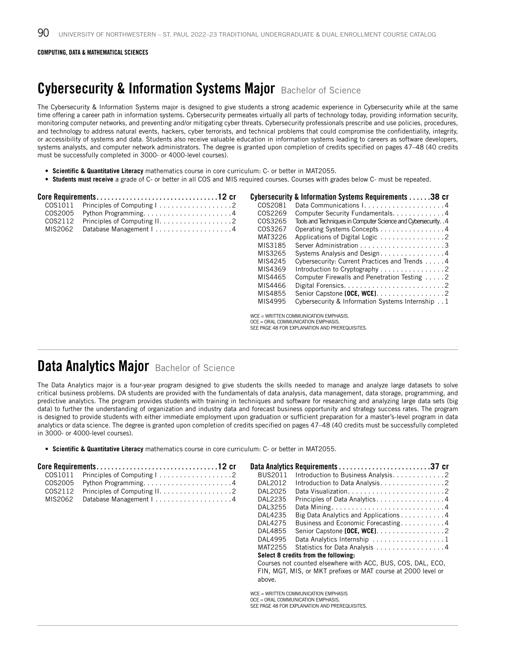## Cybersecurity & Information Systems Major Bachelor of Science

The Cybersecurity & Information Systems major is designed to give students a strong academic experience in Cybersecurity while at the same time offering a career path in information systems. Cybersecurity permeates virtually all parts of technology today, providing information security, monitoring computer networks, and preventing and/or mitigating cyber threats. Cybersecurity professionals prescribe and use policies, procedures, and technology to address natural events, hackers, cyber terrorists, and technical problems that could compromise the confidentiality, integrity, or accessibility of systems and data. Students also receive valuable education in information systems leading to careers as software developers, systems analysts, and computer network administrators. The degree is granted upon completion of credits specified on pages 47–48 (40 credits must be successfully completed in 3000- or 4000-level courses).

- **Scientific & Quantitative Literacy** mathematics course in core curriculum: C- or better in MAT2055.
- **Students must receive** a grade of C- or better in all COS and MIS required courses. Courses with grades below C- must be repeated.

|         |                        |         | Cybersecurity & Information Systems Requirements 38 cr            |
|---------|------------------------|---------|-------------------------------------------------------------------|
| COS1011 |                        | COS2081 |                                                                   |
| COS2005 |                        | COS2269 | Computer Security Fundamentals. 4                                 |
| COS2112 |                        | COS3265 | Tools and Techniques in Computer Science and Cybersecurity. . 4   |
| MIS2062 | Database Management I4 | COS3267 | Operating Systems Concepts 4                                      |
|         |                        | MAT3226 |                                                                   |
|         |                        | MIS3185 |                                                                   |
|         |                        | MIS3265 | Systems Analysis and Design4                                      |
|         |                        | MIS4245 | Cybersecurity: Current Practices and Trends 4                     |
|         |                        | MIS4369 | Introduction to Cryptography $\ldots \ldots \ldots \ldots \ldots$ |
|         |                        | MIS4465 | Computer Firewalls and Penetration Testing 2                      |
|         |                        | MIS4466 |                                                                   |
|         |                        | MIS4855 | Senior Capstone [OCE, WCE]. $\ldots \ldots \ldots \ldots \ldots$  |
|         |                        | MIS4995 | Cybersecurity & Information Systems Internship 1                  |
|         |                        |         | WCE = WRITTEN COMMUNICATION EMPHASIS.                             |

WCE = WRITTEN COMMUNICATION EMPHASIS. OCE = ORAL COMMUNICATION EMPHASIS. SEE PAGE 48 FOR EXPLANATION AND PREREQUISITES.

# Data Analytics Major Bachelor of Science

The Data Analytics major is a four-year program designed to give students the skills needed to manage and analyze large datasets to solve critical business problems. DA students are provided with the fundamentals of data analysis, data management, data storage, programming, and predictive analytics. The program provides students with training in techniques and software for researching and analyzing large data sets (big data) to further the understanding of organization and industry data and forecast business opportunity and strategy success rates. The program is designed to provide students with either immediate employment upon graduation or sufficient preparation for a master's-level program in data analytics or data science. The degree is granted upon completion of credits specified on pages 47–48 (40 credits must be successfully completed in 3000- or 4000-level courses).

• **Scientific & Quantitative Literacy** mathematics course in core curriculum: C- or better in MAT2055.

| COS1011 |                        | BUS2011 | Introduction to Business Analysis. 2                             |
|---------|------------------------|---------|------------------------------------------------------------------|
| COS2005 |                        | DAL2012 |                                                                  |
| COS2112 |                        | DAL2025 |                                                                  |
| MIS2062 | Database Management I4 | DAL2235 | Principles of Data Analytics4                                    |
|         |                        | DAL3255 |                                                                  |
|         |                        | DAL4235 | Big Data Analytics and Applications 4                            |
|         |                        | DAL4275 | Business and Economic Forecasting4                               |
|         |                        | DAL4855 | Senior Capstone [OCE, WCE]. $\ldots \ldots \ldots \ldots \ldots$ |
|         |                        | DAL4995 | Data Analytics Internship 1                                      |
|         |                        | MAT2255 | Statistics for Data Analysis 4                                   |
|         |                        |         | Select 8 credits from the following:                             |
|         |                        |         | Courses not counted elsewhere with ACC, BUS, COS, DAL, ECO,      |
|         |                        |         | FIN, MGT, MIS, or MKT prefixes or MAT course at 2000 level or    |
|         |                        | above.  |                                                                  |
|         |                        |         | $WCE = WRITTEN COMMUNICATION EMPHASIS$                           |
|         |                        |         | OCE = ORAL COMMUNICATION EMPHASIS.                               |
|         |                        |         | SEE PAGE 48 FOR EXPLANATION AND PREREQUISITES.                   |